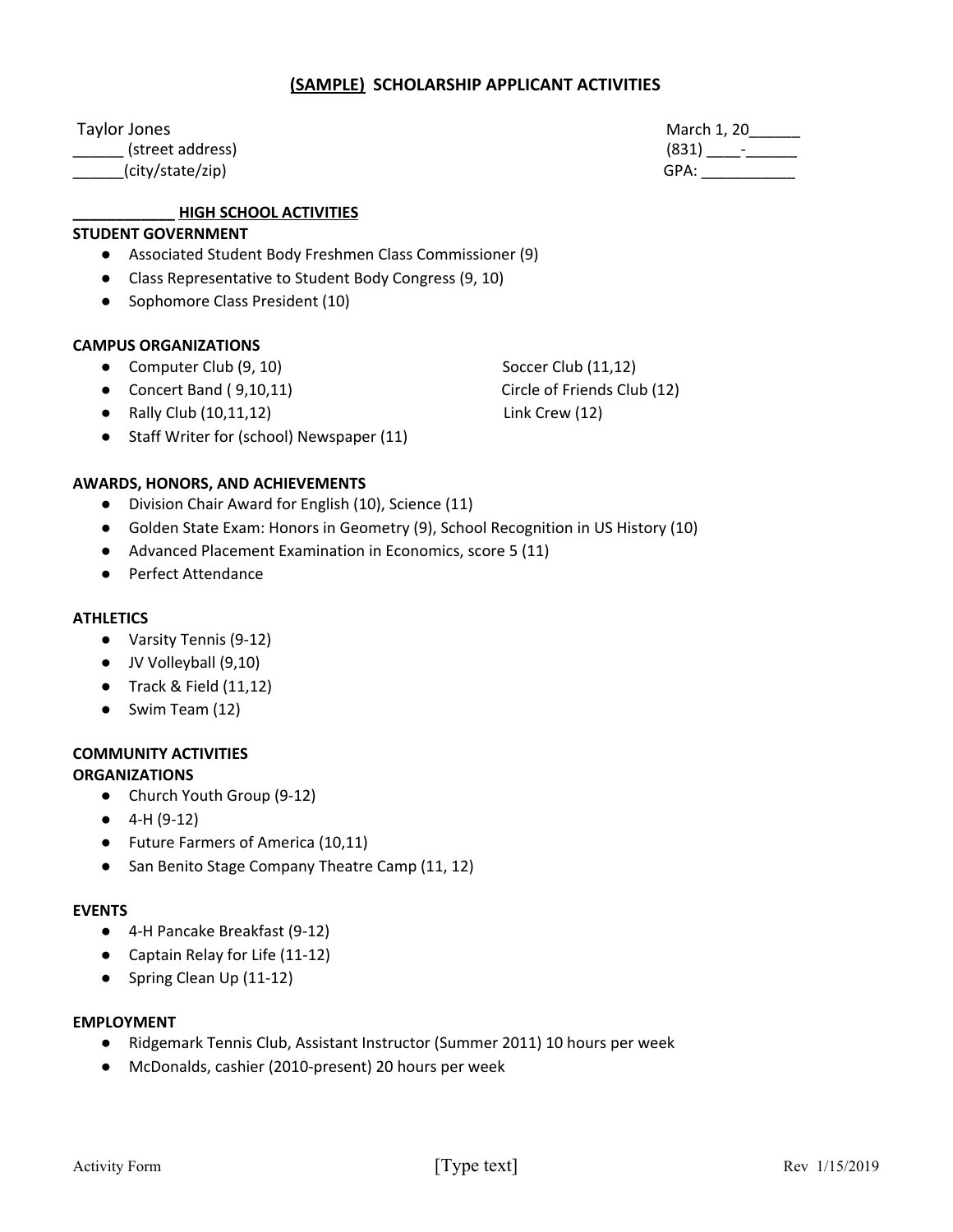# **(SAMPLE) SCHOLARSHIP APPLICANT ACTIVITIES**

\_\_\_\_\_\_ (street address) (831) \_\_\_\_-\_\_\_\_\_\_

\_\_\_\_\_\_(city/state/zip) GPA: \_\_\_\_\_\_\_\_\_\_\_

# **\_\_\_\_\_\_\_\_\_\_\_\_ HIGH SCHOOL ACTIVITIES**

#### **STUDENT GOVERNMENT**

- Associated Student Body Freshmen Class Commissioner (9)
- Class Representative to Student Body Congress (9, 10)
- Sophomore Class President (10)

#### **CAMPUS ORGANIZATIONS**

- Computer Club (9, 10) Soccer Club (11,12)
- Concert Band (9,10,11) Circle of Friends Club (12)
- Rally Club (10,11,12) Link Crew (12)
- Staff Writer for (school) Newspaper (11)

#### **AWARDS, HONORS, AND ACHIEVEMENTS**

- Division Chair Award for English (10), Science (11)
- Golden State Exam: Honors in Geometry (9), School Recognition in US History (10)
- Advanced Placement Examination in Economics, score 5 (11)
- Perfect Attendance

#### **ATHLETICS**

- Varsity Tennis (9-12)
- JV Volleyball (9,10)
- $\bullet$  Track & Field  $(11,12)$
- Swim Team (12)

## **COMMUNITY ACTIVITIES**

#### **ORGANIZATIONS**

- Church Youth Group (9-12)
- 4-H (9-12)
- Future Farmers of America (10,11)
- San Benito Stage Company Theatre Camp (11, 12)

#### **EVENTS**

- 4-H Pancake Breakfast (9-12)
- Captain Relay for Life (11-12)
- Spring Clean Up (11-12)

#### **EMPLOYMENT**

- Ridgemark Tennis Club, Assistant Instructor (Summer 2011) 10 hours per week
- McDonalds, cashier (2010-present) 20 hours per week

Taylor Jones March 1, 20